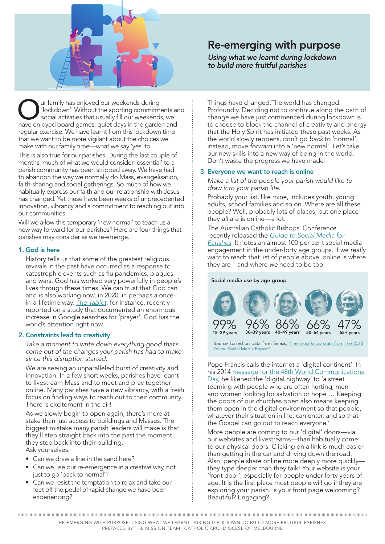

# Re-emerging with purpose

*Using what we learnt during lockdown to build more fruitful parishes*

ur family has enjoyed our weekends during 'lockdown'. Without the sporting commitments and social activities that usually fill our weekends, we have enjoyed board games, quiet days in the garden and regular exercise. We have learnt from this lockdown time that we want to be more vigilant about the choices we make with our family time—what we say 'yes' to.

This is also true for our parishes. During the last couple of months, much of what we would consider 'essential' to a parish community has been stripped away. We have had to abandon the way we normally do Mass, evangelisation, faith-sharing and social gatherings. So much of how we habitually express our faith and our relationship with Jesus has changed. Yet these have been weeks of unprecedented innovation, vibrancy and a commitment to reaching out into our communities.

Will we allow this temporary 'new normal' to teach us a new way forward for our parishes? Here are four things that parishes may consider as we re-emerge.

## 1. God is here

History tells us that some of the greatest religious revivals in the past have occurred as a response to catastrophic events such as flu pandemics, plagues and wars. God has worked very powerfully in people's lives through these times. We can trust that God can and *is* also working now, in 2020, in perhaps a oncein-a-lifetime way. *[The Tablet](https://www.thetablet.co.uk/news/12707/surge-in-online-google-searches-for-prayer-)*, for instance, recently reported on a study that documented an enormous increase in Google searches for 'prayer'. God has the world's attention right now.

### 2. Constraints lead to creativity

*Take a moment to write down everything good that's come out of the changes your parish has had to make since this disruption started.*

We are seeing an unparalleled burst of creativity and innovation. In a few short weeks, parishes have learnt to livestream Mass and to meet and pray together online. Many parishes have a new vibrancy, with a fresh focus on finding ways to reach out to their community. There is excitement in the air!

As we slowly begin to open again, there's more at stake than just access to buildings and Masses. The biggest mistake many parish leaders will make is that they'll step straight back into the past the moment they step back into their building. Ask yourselves:

- Can we draw a line in the sand here?
- Can we use our re-emergence in a creative way, not just to go 'back to normal'?
- Can we resist the temptation to relax and take our feet off the pedal of rapid change we have been experiencing?

Things have changed.The world has changed. Profoundly. Deciding not to continue along the path of change we have just commenced during lockdown is to choose to block the channel of creativity and energy that the Holy Spirit has initiated these past weeks. As the world slowly reopens, don't go *back* to 'normal'; instead, move *forward* into a 'new normal'. Let's take our new skills into a new way of being in the world. Don't waste the progress we have made!

### 3. Everyone we want to reach is online

*Make a list of the people your parish would like to draw into your parish life.*

Probably your list, like mine, includes youth, young adults, school families and so on. Where are all these people? Well, probably lots of places, but one place they *all* are is online—a lot.

The Australian Catholic Bishops' Conference recently released the *[Guide to Social Media for](https://drive.google.com/file/d/1qJ6X_vNuQXKerxm4W6-MxJo63dhzMQ6M/view)  [Parishes](https://drive.google.com/file/d/1qJ6X_vNuQXKerxm4W6-MxJo63dhzMQ6M/view)*. It notes an almost 100 per cent social media engagement in the under-forty age groups. If we *really* want to reach that list of people above, online is where they are—and where *we* need to be too.

Social media use by age group



*Source:* based on data from Sensis, ['The must-know stats from the 2018](https://www.sensis.com.au/about/our-reports/sensis-social-media-report)  [Yellow Social Media Report'.](https://www.sensis.com.au/about/our-reports/sensis-social-media-report)

Pope Francis calls the internet a 'digital continent'. In his 2014 message for the 48th World Communications [Day](http://www.vatican.va/content/francesco/en/messages/communications/documents/papa-francesco_20140124_messaggio-comunicazioni-sociali.html), he likened the 'digital highway' to 'a street teeming with people who are often hurting, men and women looking for salvation or hope … Keeping the doors of our churches open also means keeping them open in the digital environment so that people, whatever their situation in life, can enter, and so that the Gospel can go out to reach everyone.'

More people are coming to our 'digital' doors—via our websites and livestreams—than habitually come to our physical doors. Clicking on a link is much easier than getting in the car and driving down the road. Also, people share online more deeply more quickly they type deeper than they talk! Your website is your 'front door', especially for people under forty years of age. It is the first place most people will go if they are exploring your parish. Is your front page welcoming? Beautiful? Engaging?

RE-EMERGING WITH PURPOSE: USING WHAT WE LEARNT DURING LOCKDOWN TO BUILD MORE FRUITFUL PARISHES PREPARED BY THE MISSION TEAM | CATHOLIC ARCHDIOCESE OF MELBOURNE